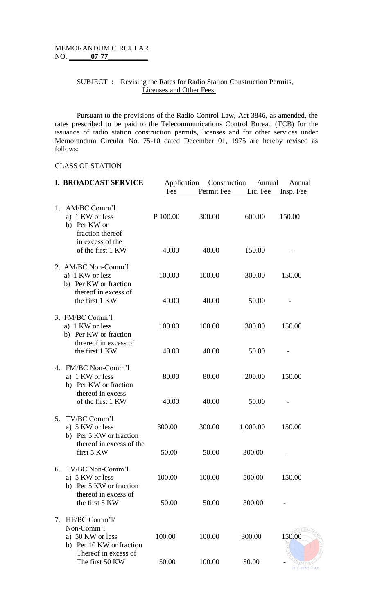## SUBJECT : Revising the Rates for Radio Station Construction Permits, Licenses and Other Fees.

Pursuant to the provisions of the Radio Control Law, Act 3846, as amended, the rates prescribed to be paid to the Telecommunications Control Bureau (TCB) for the issuance of radio station construction permits, licenses and for other services under Memorandum Circular No. 75-10 dated December 01, 1975 are hereby revised as follows:

#### CLASS OF STATION

|         | <b>I. BROADCAST SERVICE</b>                                                             | Application<br>Fee | Construction<br>Permit Fee | Annual<br>Lic. Fee | Annual<br>Insp. Fee |
|---------|-----------------------------------------------------------------------------------------|--------------------|----------------------------|--------------------|---------------------|
| $1_{-}$ | AM/BC Comm'l<br>a) 1 KW or less<br>b) Per KW or<br>fraction thereof<br>in excess of the | P 100.00           | 300.00                     | 600.00             | 150.00              |
|         | of the first 1 KW                                                                       | 40.00              | 40.00                      | 150.00             |                     |
|         | 2. AM/BC Non-Comm'l<br>a) 1 KW or less<br>b) Per KW or fraction<br>thereof in excess of | 100.00             | 100.00                     | 300.00             | 150.00              |
|         | the first 1 KW                                                                          | 40.00              | 40.00                      | 50.00              |                     |
|         | 3. FM/BC Comm'l<br>a) 1 KW or less<br>b) Per KW or fraction                             | 100.00             | 100.00                     | 300.00             | 150.00              |
|         | threreof in excess of<br>the first 1 KW                                                 | 40.00              | 40.00                      | 50.00              |                     |
|         | 4. FM/BC Non-Comm'l<br>a) 1 KW or less<br>b) Per KW or fraction                         | 80.00              | 80.00                      | 200.00             | 150.00              |
|         | thereof in excess<br>of the first 1 KW                                                  | 40.00              | 40.00                      | 50.00              |                     |
| 5.      | TV/BC Comm'l<br>a) 5 KW or less<br>b) Per 5 KW or fraction                              | 300.00             | 300.00                     | 1,000.00           | 150.00              |
|         | thereof in excess of the<br>first 5 KW                                                  | 50.00              | 50.00                      | 300.00             |                     |
| 6.      | TV/BC Non-Comm'l<br>a) 5 KW or less<br>b) Per 5 KW or fraction                          | 100.00             | 100.00                     | 500.00             | 150.00              |
|         | thereof in excess of<br>the first 5 KW                                                  | 50.00              | 50.00                      | 300.00             |                     |
|         | 7. HF/BC Comm'l/<br>Non-Comm'l                                                          |                    |                            |                    | ECOM                |
|         | a) 50 KW or less<br>b) Per 10 KW or fraction<br>Thereof in excess of                    | 100.00             | 100.00                     | 300.00             | 150.00              |
|         | The first 50 KW                                                                         | 50.00              | 100.00                     | 50.00              |                     |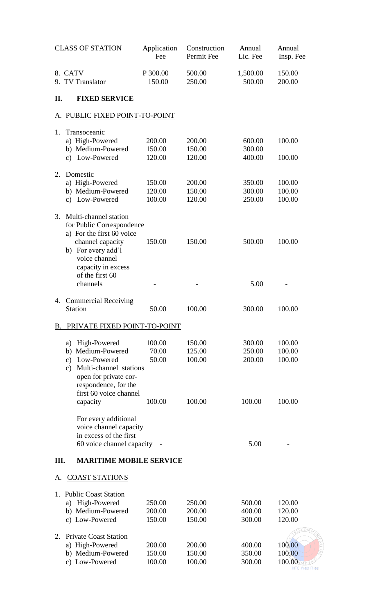|    | <b>CLASS OF STATION</b>                                                                                                                                                                                      | Application<br>Fee                 | Construction<br>Permit Fee           | Annual<br>Lic. Fee                   | Annual<br>Insp. Fee                         |
|----|--------------------------------------------------------------------------------------------------------------------------------------------------------------------------------------------------------------|------------------------------------|--------------------------------------|--------------------------------------|---------------------------------------------|
|    | 8. CATV<br>9. TV Translator                                                                                                                                                                                  | P 300.00<br>150.00                 | 500.00<br>250.00                     | 1,500.00<br>500.00                   | 150.00<br>200.00                            |
| П. | <b>FIXED SERVICE</b>                                                                                                                                                                                         |                                    |                                      |                                      |                                             |
| A. | PUBLIC FIXED POINT-TO-POINT                                                                                                                                                                                  |                                    |                                      |                                      |                                             |
| 1. | Transoceanic<br>a) High-Powered<br>b) Medium-Powered<br>c) Low-Powered                                                                                                                                       | 200.00<br>150.00<br>120.00         | 200.00<br>150.00<br>120.00           | 600.00<br>300.00<br>400.00           | 100.00<br>100.00                            |
| 2. | Domestic<br>a) High-Powered<br>b) Medium-Powered<br>Low-Powered<br>$\mathbf{c})$                                                                                                                             | 150.00<br>120.00<br>100.00         | 200.00<br>150.00<br>120.00           | 350.00<br>300.00<br>250.00           | 100.00<br>100.00<br>100.00                  |
| 3. | Multi-channel station<br>for Public Correspondence<br>a) For the first 60 voice<br>channel capacity<br>b) For every add'l<br>voice channel<br>capacity in excess<br>of the first 60<br>channels              | 150.00                             | 150.00                               | 500.00<br>5.00                       | 100.00                                      |
| 4. | <b>Commercial Receiving</b><br><b>Station</b>                                                                                                                                                                | 50.00                              | 100.00                               | 300.00                               | 100.00                                      |
| B. | PRIVATE FIXED POINT-TO-POINT                                                                                                                                                                                 |                                    |                                      |                                      |                                             |
|    | High-Powered<br>a)<br>Medium-Powered<br>b)<br>Low-Powered<br>$\mathbf{c})$<br>Multi-channel stations<br>$\mathbf{c})$<br>open for private cor-<br>respondence, for the<br>first 60 voice channel<br>capacity | 100.00<br>70.00<br>50.00<br>100.00 | 150.00<br>125.00<br>100.00<br>100.00 | 300.00<br>250.00<br>200.00<br>100.00 | 100.00<br>100.00<br>100.00<br>100.00        |
|    | For every additional<br>voice channel capacity<br>in excess of the first<br>60 voice channel capacity                                                                                                        |                                    |                                      | 5.00                                 |                                             |
| Ш. | <b>MARITIME MOBILE SERVICE</b>                                                                                                                                                                               |                                    |                                      |                                      |                                             |
| А. | <b>COAST STATIONS</b>                                                                                                                                                                                        |                                    |                                      |                                      |                                             |
|    | 1. Public Coast Station<br>High-Powered<br>a)<br>b) Medium-Powered<br>c) Low-Powered                                                                                                                         | 250.00<br>200.00<br>150.00         | 250.00<br>200.00<br>150.00           | 500.00<br>400.00<br>300.00           | 120.00<br>120.00<br>120.00                  |
| 2. | <b>Private Coast Station</b><br>a) High-Powered<br>b) Medium-Powered<br>Low-Powered<br>$\mathbf{c})$                                                                                                         | 200.00<br>150.00<br>100.00         | 200.00<br>150.00<br>100.00           | 400.00<br>350.00<br>300.00           | 100.00<br>100.00<br>100.00<br>NTC Web Files |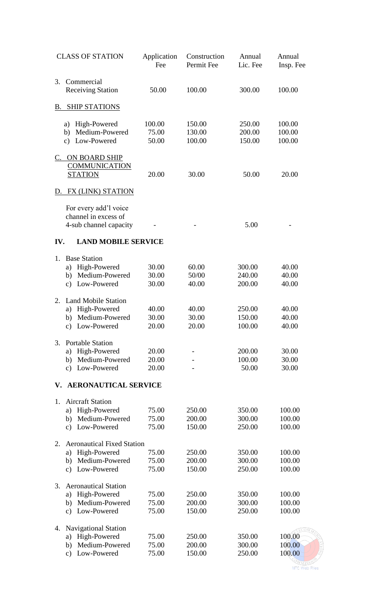|         | <b>CLASS OF STATION</b>                                                                                   | Application<br>Fee       | Construction<br>Permit Fee | Annual<br>Lic. Fee         | Annual<br>Insp. Fee                |
|---------|-----------------------------------------------------------------------------------------------------------|--------------------------|----------------------------|----------------------------|------------------------------------|
| 3.      | Commercial<br><b>Receiving Station</b>                                                                    | 50.00                    | 100.00                     | 300.00                     | 100.00                             |
| B.      | <b>SHIP STATIONS</b>                                                                                      |                          |                            |                            |                                    |
|         | a) High-Powered<br>Medium-Powered<br>b)<br>Low-Powered<br>$\mathbf{c})$                                   | 100.00<br>75.00<br>50.00 | 150.00<br>130.00<br>100.00 | 250.00<br>200.00<br>150.00 | 100.00<br>100.00<br>100.00         |
| C.      | ON BOARD SHIP<br><b>COMMUNICATION</b><br><b>STATION</b>                                                   | 20.00                    | 30.00                      | 50.00                      | 20.00                              |
| D.      | FX (LINK) STATION                                                                                         |                          |                            |                            |                                    |
|         | For every add'l voice<br>channel in excess of<br>4-sub channel capacity                                   |                          |                            | 5.00                       |                                    |
| IV.     | <b>LAND MOBILE SERVICE</b>                                                                                |                          |                            |                            |                                    |
| $1_{-}$ | <b>Base Station</b><br>a) High-Powered<br>Medium-Powered<br>b)<br>Low-Powered<br>$\mathbf{c})$            | 30.00<br>30.00<br>30.00  | 60.00<br>50/00<br>40.00    | 300.00<br>240.00<br>200.00 | 40.00<br>40.00<br>40.00            |
| 2.      | <b>Land Mobile Station</b><br>a) High-Powered<br>b) Medium-Powered<br>c) Low-Powered                      | 40.00<br>30.00<br>20.00  | 40.00<br>30.00<br>20.00    | 250.00<br>150.00<br>100.00 | 40.00<br>40.00<br>40.00            |
| 3.      | <b>Portable Station</b><br>High-Powered<br>a)<br>Medium-Powered<br>b)<br>Low-Powered<br>$\mathbf{c})$     | 20.00<br>20.00<br>20.00  |                            | 200.00<br>100.00<br>50.00  | 30.00<br>30.00<br>30.00            |
| V.      | <b>AERONAUTICAL SERVICE</b>                                                                               |                          |                            |                            |                                    |
| 1.      | <b>Aircraft Station</b><br>High-Powered<br>a)<br>Medium-Powered<br>b)<br>Low-Powered<br>$\mathbf{c})$     | 75.00<br>75.00<br>75.00  | 250.00<br>200.00<br>150.00 | 350.00<br>300.00<br>250.00 | 100.00<br>100.00<br>100.00         |
| 2.      | <b>Aeronautical Fixed Station</b><br>High-Powered<br>a)<br>Medium-Powered<br>b)<br>Low-Powered<br>c)      | 75.00<br>75.00<br>75.00  | 250.00<br>200.00<br>150.00 | 350.00<br>300.00<br>250.00 | 100.00<br>100.00<br>100.00         |
| 3.      | <b>Aeronautical Station</b><br>High-Powered<br>a)<br>Medium-Powered<br>b)<br>Low-Powered<br>$\mathbf{c})$ | 75.00<br>75.00<br>75.00  | 250.00<br>200.00<br>150.00 | 350.00<br>300.00<br>250.00 | 100.00<br>100.00<br>100.00         |
| 4.      | <b>Navigational Station</b><br>High-Powered<br>a)<br>Medium-Powered<br>b)<br>Low-Powered<br>c)            | 75.00<br>75.00<br>75.00  | 250.00<br>200.00<br>150.00 | 350.00<br>300.00<br>250.00 | ECO.<br>100.00<br>100.00<br>100.00 |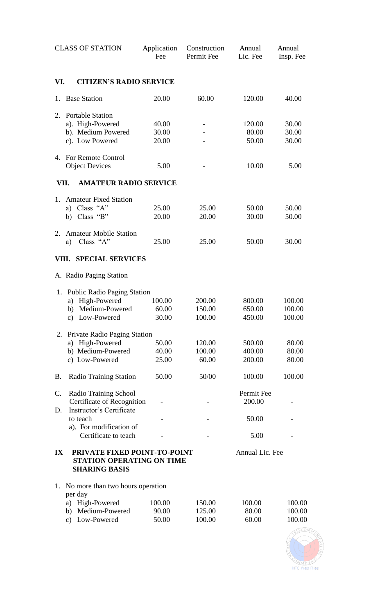|                         | <b>CLASS OF STATION</b>                                                                                                                                      | Application<br>Fee                | Construction<br>Permit Fee           | Annual<br>Lic. Fee                   | Annual<br>Insp. Fee                 |
|-------------------------|--------------------------------------------------------------------------------------------------------------------------------------------------------------|-----------------------------------|--------------------------------------|--------------------------------------|-------------------------------------|
| VI.                     | <b>CITIZEN'S RADIO SERVICE</b>                                                                                                                               |                                   |                                      |                                      |                                     |
| 1.                      | <b>Base Station</b>                                                                                                                                          | 20.00                             | 60.00                                | 120.00                               | 40.00                               |
| 2.                      | <b>Portable Station</b><br>a). High-Powered<br>b). Medium Powered<br>c). Low Powered                                                                         | 40.00<br>30.00<br>20.00           |                                      | 120.00<br>80.00<br>50.00             | 30.00<br>30.00<br>30.00             |
| 4.                      | <b>For Remote Control</b><br><b>Object Devices</b>                                                                                                           | 5.00                              |                                      | 10.00                                | 5.00                                |
| VII.                    | <b>AMATEUR RADIO SERVICE</b>                                                                                                                                 |                                   |                                      |                                      |                                     |
| 1.                      | <b>Amateur Fixed Station</b><br>a) Class "A"<br>Class "B"<br>b)                                                                                              | 25.00<br>20.00                    | 25.00<br>20.00                       | 50.00<br>30.00                       | 50.00<br>50.00                      |
| 2.                      | <b>Amateur Mobile Station</b><br>Class "A"<br>a)                                                                                                             | 25.00                             | 25.00                                | 50.00                                | 30.00                               |
| VIII.                   | <b>SPECIAL SERVICES</b>                                                                                                                                      |                                   |                                      |                                      |                                     |
|                         | A. Radio Paging Station                                                                                                                                      |                                   |                                      |                                      |                                     |
| 1.<br>2.                | <b>Public Radio Paging Station</b><br>High-Powered<br>a)<br>Medium-Powered<br>b)<br>c) Low-Powered<br><b>Private Radio Paging Station</b><br>a) High-Powered | 100.00<br>60.00<br>30.00<br>50.00 | 200.00<br>150.00<br>100.00<br>120.00 | 800.00<br>650.00<br>450.00<br>500.00 | 100.00<br>100.00<br>100.00<br>80.00 |
|                         | b) Medium-Powered<br>c) Low-Powered                                                                                                                          | 40.00<br>25.00                    | 100.00<br>60.00                      | 400.00<br>200.00                     | 80.00<br>80.00                      |
| <b>B.</b>               | <b>Radio Training Station</b>                                                                                                                                | 50.00                             | 50/00                                | 100.00                               | 100.00                              |
| C.<br>D.                | Radio Training School<br>Certificate of Recognition<br>Instructor's Certificate                                                                              |                                   |                                      | Permit Fee<br>200.00                 |                                     |
|                         | to teach<br>a). For modification of                                                                                                                          |                                   |                                      | 50.00                                |                                     |
|                         | Certificate to teach                                                                                                                                         |                                   |                                      | 5.00                                 |                                     |
| $\mathbf{I} \mathbf{X}$ | PRIVATE FIXED POINT-TO-POINT<br><b>STATION OPERATING ON TIME</b><br><b>SHARING BASIS</b>                                                                     |                                   |                                      | Annual Lic. Fee                      |                                     |
| 1.                      | No more than two hours operation<br>per day<br>a) High-Powered<br>b) Medium-Powered<br>Low-Powered<br>$\mathbf{c})$                                          | 100.00<br>90.00<br>50.00          | 150.00<br>125.00<br>100.00           | 100.00<br>80.00<br>60.00             | 100.00<br>100.00<br>100.00          |

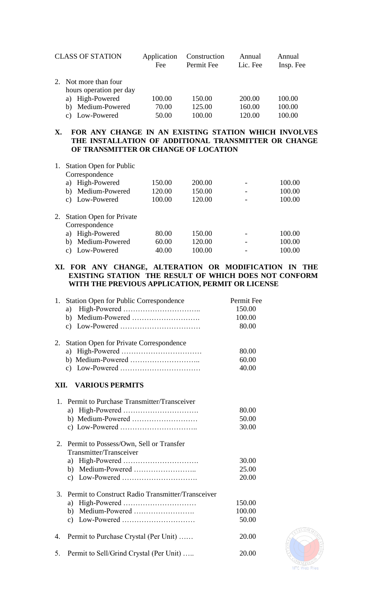| <b>CLASS OF STATION</b>                          | Application<br>Fee | Construction<br>Permit Fee | Annual<br>Lic. Fee | Annual<br>Insp. Fee |
|--------------------------------------------------|--------------------|----------------------------|--------------------|---------------------|
| 2. Not more than four<br>hours operation per day |                    |                            |                    |                     |
| a) High-Powered                                  | 100.00             | 150.00                     | 200.00             | 100.00              |
| Medium-Powered<br>b)                             | 70.00              | 125.00                     | 160.00             | 100.00              |
| Low-Powered                                      | 50.00              | 100.00                     | 120.00             | 100.00              |

# **X. FOR ANY CHANGE IN AN EXISTING STATION WHICH INVOLVES THE INSTALLATION OF ADDITIONAL TRANSMITTER OR CHANGE OF TRANSMITTER OR CHANGE OF LOCATION**

| <b>Station Open for Public</b>  |                                                  |        |        |        |
|---------------------------------|--------------------------------------------------|--------|--------|--------|
| High-Powered<br>a)              | 150.00                                           | 200.00 |        | 100.00 |
| Medium-Powered<br>b)            | 120.00                                           | 150.00 |        | 100.00 |
| c) Low-Powered                  | 100.00                                           | 120.00 |        | 100.00 |
| <b>Station Open for Private</b> |                                                  |        |        |        |
| a)                              | 80.00                                            |        |        | 100.00 |
| Medium-Powered<br>b)            | 60.00                                            | 120.00 |        | 100.00 |
| Low-Powered<br>C)               | 40.00                                            | 100.00 |        | 100.00 |
|                                 | Correspondence<br>Correspondence<br>High-Powered |        | 150.00 |        |

## **XI. FOR ANY CHANGE, ALTERATION OR MODIFICATION IN THE EXISTING STATION THE RESULT OF WHICH DOES NOT CONFORM WITH THE PREVIOUS APPLICATION, PERMIT OR LICENSE**

| 1. | <b>Station Open for Public Correspondence</b>     | Permit Fee |
|----|---------------------------------------------------|------------|
|    | a)                                                | 150.00     |
|    | b)                                                | 100.00     |
|    |                                                   | 80.00      |
| 2. | <b>Station Open for Private Correspondence</b>    |            |
|    |                                                   | 80.00      |
|    |                                                   | 60.00      |
|    |                                                   | 40.00      |
|    | XII. VARIOUS PERMITS                              |            |
|    | 1. Permit to Purchase Transmitter/Transceiver     |            |
|    |                                                   | 80.00      |
|    |                                                   | 50.00      |
|    |                                                   | 30.00      |
|    | 2. Permit to Possess/Own, Sell or Transfer        |            |
|    | Transmitter/Transceiver                           |            |
|    |                                                   | 30.00      |
|    |                                                   | 25.00      |
|    |                                                   | 20.00      |
| 3. | Permit to Construct Radio Transmitter/Transceiver |            |
|    | a)                                                | 150.00     |
|    | b) Medium-Powered                                 | 100.00     |
|    |                                                   | 50.00      |
| 4. | Permit to Purchase Crystal (Per Unit)             | 20.00      |
| 5. | Permit to Sell/Grind Crystal (Per Unit)           | 20.00      |

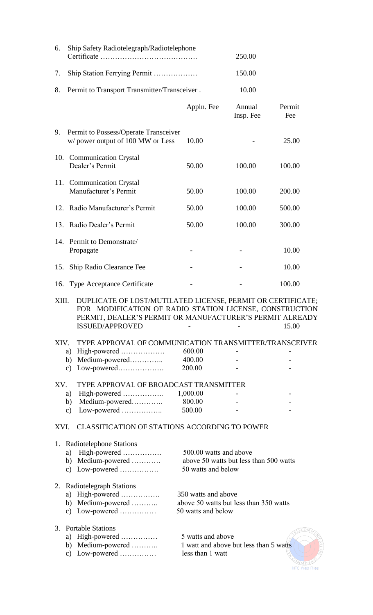| 6.    | Ship Safety Radiotelegraph/Radiotelephone                                                                                                                                                                    | 250.00                                                                                 |                     |               |
|-------|--------------------------------------------------------------------------------------------------------------------------------------------------------------------------------------------------------------|----------------------------------------------------------------------------------------|---------------------|---------------|
| 7.    |                                                                                                                                                                                                              |                                                                                        | 150.00              |               |
| 8.    | Permit to Transport Transmitter/Transceiver.                                                                                                                                                                 |                                                                                        | 10.00               |               |
|       |                                                                                                                                                                                                              | Appln. Fee                                                                             | Annual<br>Insp. Fee | Permit<br>Fee |
| 9.    | Permit to Possess/Operate Transceiver<br>w/ power output of 100 MW or Less                                                                                                                                   | 10.00                                                                                  |                     | 25.00         |
| 10.   | <b>Communication Crystal</b><br>Dealer's Permit                                                                                                                                                              | 50.00                                                                                  | 100.00              | 100.00        |
| 11.   | <b>Communication Crystal</b><br>Manufacturer's Permit                                                                                                                                                        | 50.00                                                                                  | 100.00              | 200.00        |
|       | 12. Radio Manufacturer's Permit                                                                                                                                                                              | 50.00                                                                                  | 100.00              | 500.00        |
|       | 13. Radio Dealer's Permit                                                                                                                                                                                    | 50.00                                                                                  | 100.00              | 300.00        |
|       | 14. Permit to Demonstrate/<br>Propagate                                                                                                                                                                      |                                                                                        |                     | 10.00         |
| 15.   | Ship Radio Clearance Fee                                                                                                                                                                                     |                                                                                        |                     | 10.00         |
|       | 16. Type Acceptance Certificate                                                                                                                                                                              |                                                                                        |                     | 100.00        |
| XIII. | DUPLICATE OF LOST/MUTILATED LICENSE, PERMIT OR CERTIFICATE;<br>FOR MODIFICATION OF RADIO STATION LICENSE, CONSTRUCTION<br>PERMIT, DEALER'S PERMIT OR MANUFACTURER'S PERMIT ALREADY<br><b>ISSUED/APPROVED</b> |                                                                                        |                     | 15.00         |
| XIV.  | TYPE APPROVAL OF COMMUNICATION TRANSMITTER/TRANSCEIVER                                                                                                                                                       |                                                                                        |                     |               |
|       |                                                                                                                                                                                                              | 600.00                                                                                 |                     |               |
|       | b) Medium-powered<br>$\mathbf{c})$                                                                                                                                                                           | 400.00<br>200.00                                                                       |                     |               |
| XV.   | TYPE APPROVAL OF BROADCAST TRANSMITTER                                                                                                                                                                       |                                                                                        |                     |               |
|       | High-powered<br>a)                                                                                                                                                                                           | 1,000.00                                                                               |                     |               |
|       | b) Medium-powered<br>Low-powered<br>$\mathbf{c})$                                                                                                                                                            | 800.00<br>500.00                                                                       |                     |               |
| XVI.  | <b>CLASSIFICATION OF STATIONS ACCORDING TO POWER</b>                                                                                                                                                         |                                                                                        |                     |               |
|       |                                                                                                                                                                                                              |                                                                                        |                     |               |
|       | 1. Radiotelephone Stations<br>a) High-powered<br>b) Medium-powered<br>c) Low-powered                                                                                                                         | 500.00 watts and above<br>above 50 watts but less than 500 watts<br>50 watts and below |                     |               |
|       | 2. Radiotelegraph Stations<br>a) High-powered<br>b) Medium-powered<br>c) Low-powered                                                                                                                         | 350 watts and above<br>above 50 watts but less than 350 watts<br>50 watts and below    |                     |               |
| 3.    | <b>Portable Stations</b><br>a) High-powered<br>b) Medium-powered<br>c) Low-powered                                                                                                                           | 5 watts and above<br>1 watt and above but less than 5 watts<br>less than 1 watt        |                     |               |